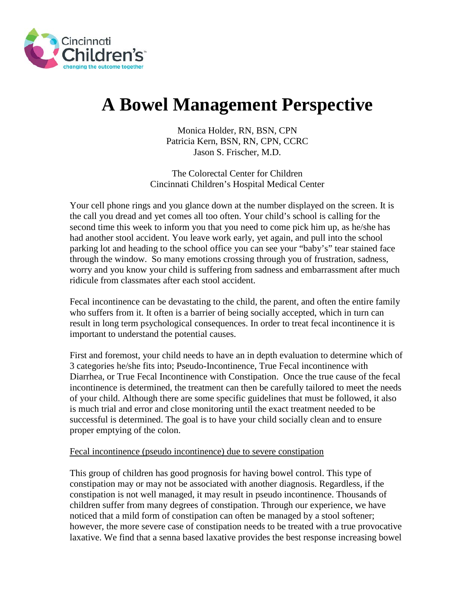

# **A Bowel Management Perspective**

Monica Holder, RN, BSN, CPN Patricia Kern, BSN, RN, CPN, CCRC Jason S. Frischer, M.D.

The Colorectal Center for Children Cincinnati Children's Hospital Medical Center

Your cell phone rings and you glance down at the number displayed on the screen. It is the call you dread and yet comes all too often. Your child's school is calling for the second time this week to inform you that you need to come pick him up, as he/she has had another stool accident. You leave work early, yet again, and pull into the school parking lot and heading to the school office you can see your "baby's" tear stained face through the window. So many emotions crossing through you of frustration, sadness, worry and you know your child is suffering from sadness and embarrassment after much ridicule from classmates after each stool accident.

Fecal incontinence can be devastating to the child, the parent, and often the entire family who suffers from it. It often is a barrier of being socially accepted, which in turn can result in long term psychological consequences. In order to treat fecal incontinence it is important to understand the potential causes.

First and foremost, your child needs to have an in depth evaluation to determine which of 3 categories he/she fits into; Pseudo-Incontinence, True Fecal incontinence with Diarrhea, or True Fecal Incontinence with Constipation. Once the true cause of the fecal incontinence is determined, the treatment can then be carefully tailored to meet the needs of your child. Although there are some specific guidelines that must be followed, it also is much trial and error and close monitoring until the exact treatment needed to be successful is determined. The goal is to have your child socially clean and to ensure proper emptying of the colon.

# Fecal incontinence (pseudo incontinence) due to severe constipation

This group of children has good prognosis for having bowel control. This type of constipation may or may not be associated with another diagnosis. Regardless, if the constipation is not well managed, it may result in pseudo incontinence. Thousands of children suffer from many degrees of constipation. Through our experience, we have noticed that a mild form of constipation can often be managed by a stool softener; however, the more severe case of constipation needs to be treated with a true provocative laxative. We find that a senna based laxative provides the best response increasing bowel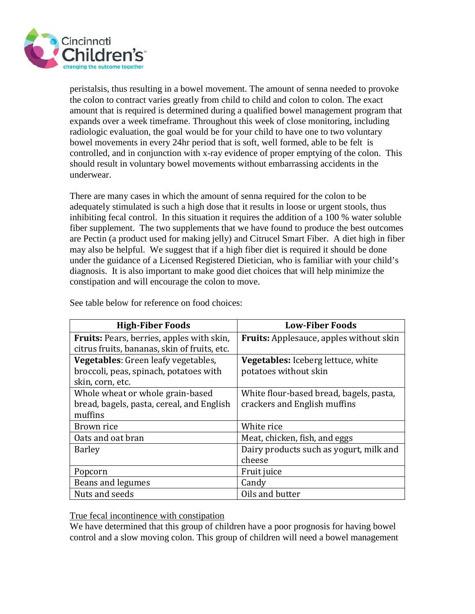

peristalsis, thus resulting in a bowel movement. The amount of senna needed to provoke the colon to contract varies greatly from child to child and colon to colon. The exact amount that is required is determined during a qualified bowel management program that expands over a week timeframe. Throughout this week of close monitoring, including radiologic evaluation, the goal would be for your child to have one to two voluntary bowel movements in every 24hr period that is soft, well formed, able to be felt is controlled, and in conjunction with x-ray evidence of proper emptying of the colon. This should result in voluntary bowel movements without embarrassing accidents in the underwear.

There are many cases in which the amount of senna required for the colon to be adequately stimulated is such a high dose that it results in loose or urgent stools, thus inhibiting fecal control. In this situation it requires the addition of a 100 % water soluble fiber supplement. The two supplements that we have found to produce the best outcomes are Pectin (a product used for making jelly) and Citrucel Smart Fiber. A diet high in fiber may also be helpful. We suggest that if a high fiber diet is required it should be done under the guidance of a Licensed Registered Dietician, who is familiar with your child's diagnosis. It is also important to make good diet choices that will help minimize the constipation and will encourage the colon to move.

| <b>High-Fiber Foods</b>                      | <b>Low-Fiber Foods</b>                         |
|----------------------------------------------|------------------------------------------------|
| Fruits: Pears, berries, apples with skin,    | <b>Fruits:</b> Applesauce, apples without skin |
| citrus fruits, bananas, skin of fruits, etc. |                                                |
| Vegetables: Green leafy vegetables,          | <b>Vegetables:</b> Iceberg lettuce, white      |
| broccoli, peas, spinach, potatoes with       | potatoes without skin                          |
| skin, corn, etc.                             |                                                |
| Whole wheat or whole grain-based             | White flour-based bread, bagels, pasta,        |
| bread, bagels, pasta, cereal, and English    | crackers and English muffins                   |
| muffins                                      |                                                |
| Brown rice                                   | White rice                                     |
| Oats and oat bran                            | Meat, chicken, fish, and eggs                  |
| <b>Barley</b>                                | Dairy products such as yogurt, milk and        |
|                                              | cheese                                         |
| Popcorn                                      | Fruit juice                                    |
| Beans and legumes                            | Candy                                          |
| Nuts and seeds                               | Oils and butter                                |

See table below for reference on food choices:

True fecal incontinence with constipation

We have determined that this group of children have a poor prognosis for having bowel control and a slow moving colon. This group of children will need a bowel management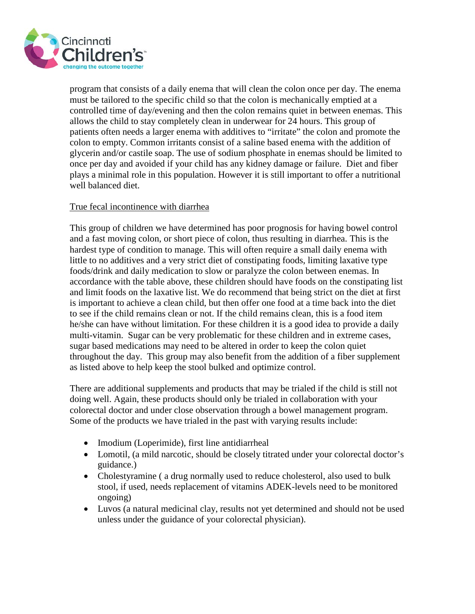

program that consists of a daily enema that will clean the colon once per day. The enema must be tailored to the specific child so that the colon is mechanically emptied at a controlled time of day/evening and then the colon remains quiet in between enemas. This allows the child to stay completely clean in underwear for 24 hours. This group of patients often needs a larger enema with additives to "irritate" the colon and promote the colon to empty. Common irritants consist of a saline based enema with the addition of glycerin and/or castile soap. The use of sodium phosphate in enemas should be limited to once per day and avoided if your child has any kidney damage or failure. Diet and fiber plays a minimal role in this population. However it is still important to offer a nutritional well balanced diet.

# True fecal incontinence with diarrhea

This group of children we have determined has poor prognosis for having bowel control and a fast moving colon, or short piece of colon, thus resulting in diarrhea. This is the hardest type of condition to manage. This will often require a small daily enema with little to no additives and a very strict diet of constipating foods, limiting laxative type foods/drink and daily medication to slow or paralyze the colon between enemas. In accordance with the table above, these children should have foods on the constipating list and limit foods on the laxative list. We do recommend that being strict on the diet at first is important to achieve a clean child, but then offer one food at a time back into the diet to see if the child remains clean or not. If the child remains clean, this is a food item he/she can have without limitation. For these children it is a good idea to provide a daily multi-vitamin. Sugar can be very problematic for these children and in extreme cases, sugar based medications may need to be altered in order to keep the colon quiet throughout the day. This group may also benefit from the addition of a fiber supplement as listed above to help keep the stool bulked and optimize control.

There are additional supplements and products that may be trialed if the child is still not doing well. Again, these products should only be trialed in collaboration with your colorectal doctor and under close observation through a bowel management program. Some of the products we have trialed in the past with varying results include:

- Imodium (Loperimide), first line antidiarrheal
- Lomotil, (a mild narcotic, should be closely titrated under your colorectal doctor's guidance.)
- Cholestyramine (a drug normally used to reduce cholesterol, also used to bulk stool, if used, needs replacement of vitamins ADEK-levels need to be monitored ongoing)
- Luvos (a natural medicinal clay, results not yet determined and should not be used unless under the guidance of your colorectal physician).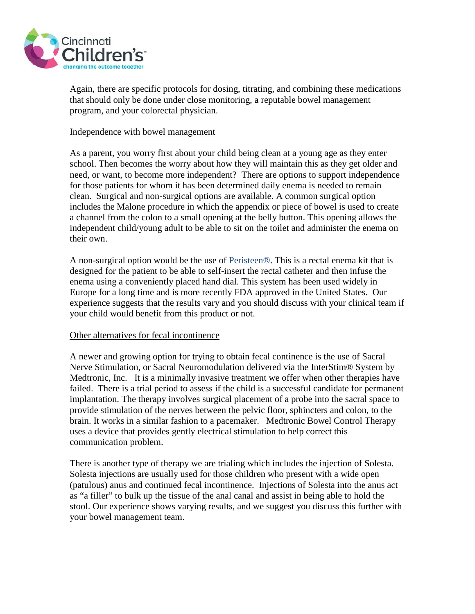

Again, there are specific protocols for dosing, titrating, and combining these medications that should only be done under close monitoring, a reputable bowel management program, and your colorectal physician.

#### Independence with bowel management

As a parent, you worry first about your child being clean at a young age as they enter school. Then becomes the worry about how they will maintain this as they get older and need, or want, to become more independent? There are options to support independence for those patients for whom it has been determined daily enema is needed to remain clean. Surgical and non-surgical options are available. A common surgical option includes the Malone procedure in which the appendix or piece of bowel is used to create a channel from the colon to a small opening at the belly button. This opening allows the independent child/young adult to be able to sit on the toilet and administer the enema on their own.

A non-surgical option would be the use of Peristeen®. This is a rectal enema kit that is designed for the patient to be able to self-insert the rectal catheter and then infuse the enema using a conveniently placed hand dial. This system has been used widely in Europe for a long time and is more recently FDA approved in the United States. Our experience suggests that the results vary and you should discuss with your clinical team if your child would benefit from this product or not.

# Other alternatives for fecal incontinence

A newer and growing option for trying to obtain fecal continence is the use of Sacral Nerve Stimulation, or Sacral Neuromodulation delivered via the InterStim® System by Medtronic, Inc. It is a minimally invasive treatment we offer when other therapies have failed. There is a trial period to assess if the child is a successful candidate for permanent implantation. The therapy involves surgical placement of a probe into the sacral space to provide stimulation of the nerves between the pelvic floor, sphincters and colon, to the brain. It works in a similar fashion to a pacemaker. Medtronic Bowel Control Therapy uses a device that provides gently electrical stimulation to help correct this communication problem.

There is another type of therapy we are trialing which includes the injection of Solesta. Solesta injections are usually used for those children who present with a wide open (patulous) anus and continued fecal incontinence. Injections of Solesta into the anus act as "a filler" to bulk up the tissue of the anal canal and assist in being able to hold the stool. Our experience shows varying results, and we suggest you discuss this further with your bowel management team.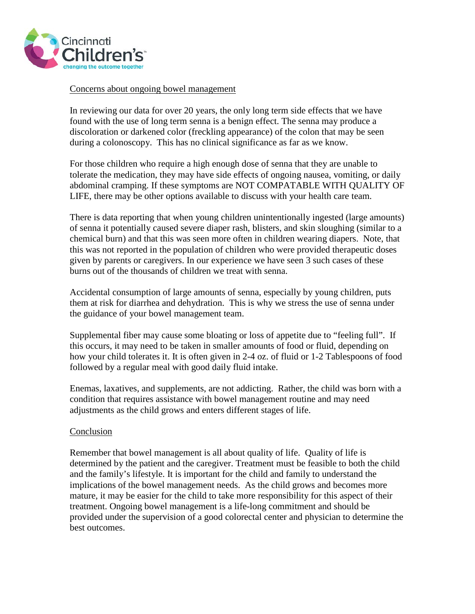

# Concerns about ongoing bowel management

In reviewing our data for over 20 years, the only long term side effects that we have found with the use of long term senna is a benign effect. The senna may produce a discoloration or darkened color (freckling appearance) of the colon that may be seen during a colonoscopy. This has no clinical significance as far as we know.

For those children who require a high enough dose of senna that they are unable to tolerate the medication, they may have side effects of ongoing nausea, vomiting, or daily abdominal cramping. If these symptoms are NOT COMPATABLE WITH QUALITY OF LIFE, there may be other options available to discuss with your health care team.

There is data reporting that when young children unintentionally ingested (large amounts) of senna it potentially caused severe diaper rash, blisters, and skin sloughing (similar to a chemical burn) and that this was seen more often in children wearing diapers. Note, that this was not reported in the population of children who were provided therapeutic doses given by parents or caregivers. In our experience we have seen 3 such cases of these burns out of the thousands of children we treat with senna.

Accidental consumption of large amounts of senna, especially by young children, puts them at risk for diarrhea and dehydration. This is why we stress the use of senna under the guidance of your bowel management team.

Supplemental fiber may cause some bloating or loss of appetite due to "feeling full". If this occurs, it may need to be taken in smaller amounts of food or fluid, depending on how your child tolerates it. It is often given in 2-4 oz. of fluid or 1-2 Tablespoons of food followed by a regular meal with good daily fluid intake.

Enemas, laxatives, and supplements, are not addicting. Rather, the child was born with a condition that requires assistance with bowel management routine and may need adjustments as the child grows and enters different stages of life.

# Conclusion

Remember that bowel management is all about quality of life. Quality of life is determined by the patient and the caregiver. Treatment must be feasible to both the child and the family's lifestyle. It is important for the child and family to understand the implications of the bowel management needs. As the child grows and becomes more mature, it may be easier for the child to take more responsibility for this aspect of their treatment. Ongoing bowel management is a life-long commitment and should be provided under the supervision of a good colorectal center and physician to determine the best outcomes.